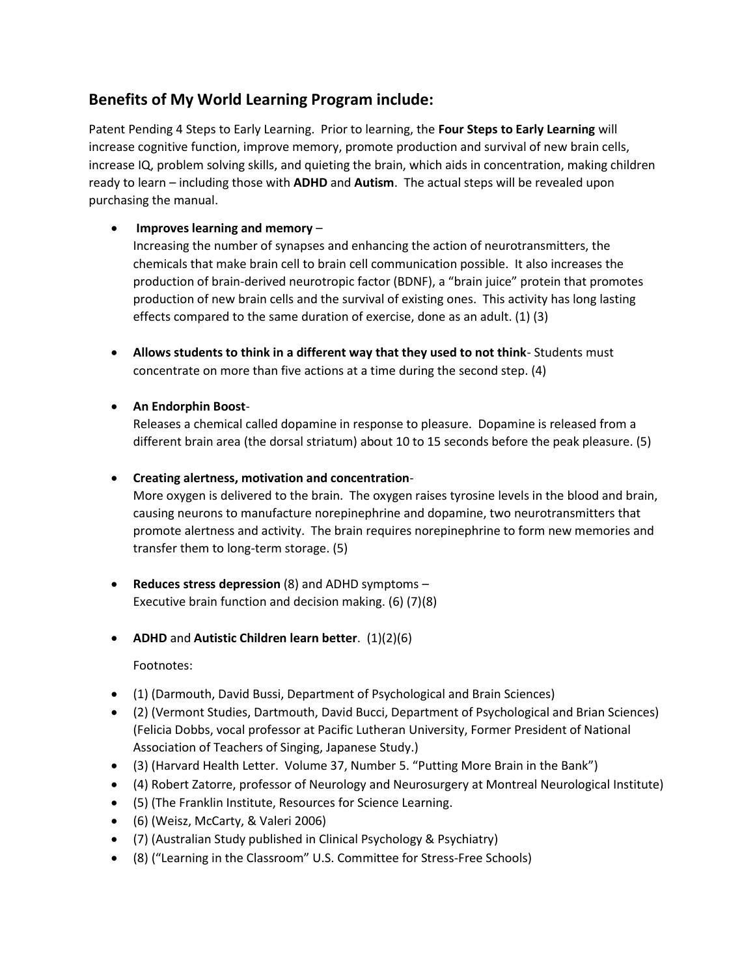# **Benefits of My World Learning Program include:**

Patent Pending 4 Steps to Early Learning. Prior to learning, the **Four Steps to Early Learning** will increase cognitive function, improve memory, promote production and survival of new brain cells, increase IQ, problem solving skills, and quieting the brain, which aids in concentration, making children ready to learn – including those with **ADHD** and **Autism**. The actual steps will be revealed upon purchasing the manual.

### • **Improves learning and memory** –

Increasing the number of synapses and enhancing the action of neurotransmitters, the chemicals that make brain cell to brain cell communication possible. It also increases the production of brain-derived neurotropic factor (BDNF), a "brain juice" protein that promotes production of new brain cells and the survival of existing ones. This activity has long lasting effects compared to the same duration of exercise, done as an adult. (1) (3)

- **Allows students to think in a different way that they used to not think** Students must concentrate on more than five actions at a time during the second step. (4)
- **An Endorphin Boost**-

Releases a chemical called dopamine in response to pleasure. Dopamine is released from a different brain area (the dorsal striatum) about 10 to 15 seconds before the peak pleasure. (5)

### • **Creating alertness, motivation and concentration**-

More oxygen is delivered to the brain. The oxygen raises tyrosine levels in the blood and brain, causing neurons to manufacture norepinephrine and dopamine, two neurotransmitters that promote alertness and activity. The brain requires norepinephrine to form new memories and transfer them to long-term storage. (5)

- **Reduces stress depression** (8) and ADHD symptoms Executive brain function and decision making. (6) (7)(8)
- **ADHD** and **Autistic Children learn better**. (1)(2)(6)

Footnotes:

- (1) (Darmouth, David Bussi, Department of Psychological and Brain Sciences)
- (2) (Vermont Studies, Dartmouth, David Bucci, Department of Psychological and Brian Sciences) (Felicia Dobbs, vocal professor at Pacific Lutheran University, Former President of National Association of Teachers of Singing, Japanese Study.)
- (3) (Harvard Health Letter. Volume 37, Number 5. "Putting More Brain in the Bank")
- (4) Robert Zatorre, professor of Neurology and Neurosurgery at Montreal Neurological Institute)
- (5) (The Franklin Institute, Resources for Science Learning.
- (6) (Weisz, McCarty, & Valeri 2006)
- (7) (Australian Study published in Clinical Psychology & Psychiatry)
- (8) ("Learning in the Classroom" U.S. Committee for Stress-Free Schools)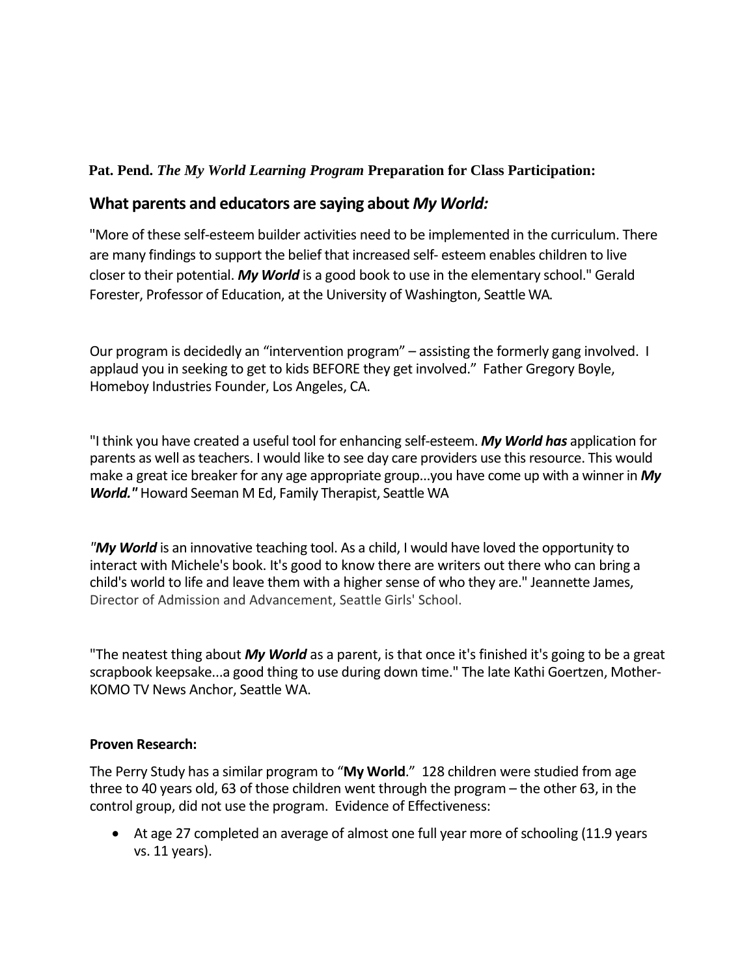### **Pat. Pend.** *The My World Learning Program* **Preparation for Class Participation:**

## **What parents and educators are saying about** *My World:*

"More of these self-esteem builder activities need to be implemented in the curriculum. There are many findings to support the belief that increased self- esteem enables children to live closer to their potential. *My World* is a good book to use in the elementary school." Gerald Forester, Professor of Education, at the University of Washington, Seattle WA.

Our program is decidedly an "intervention program" – assisting the formerly gang involved. I applaud you in seeking to get to kids BEFORE they get involved." Father Gregory Boyle, Homeboy Industries Founder, Los Angeles, CA.

"I think you have created a useful tool for enhancing self-esteem. *My World has* application for parents as well as teachers. I would like to see day care providers use this resource. This would make a great ice breaker for any age appropriate group...you have come up with a winner in *My World."* Howard Seeman M Ed, Family Therapist, Seattle WA

*"My World* is an innovative teaching tool. As a child, I would have loved the opportunity to interact with Michele's book. It's good to know there are writers out there who can bring a child's world to life and leave them with a higher sense of who they are." Jeannette James, Director of Admission and Advancement, Seattle Girls' School.

"The neatest thing about *My World* as a parent, is that once it's finished it's going to be a great scrapbook keepsake...a good thing to use during down time." The late Kathi Goertzen, Mother-KOMO TV News Anchor, Seattle WA.

### **Proven Research:**

The Perry Study has a similar program to "**My World**." 128 children were studied from age three to 40 years old, 63 of those children went through the program – the other 63, in the control group, did not use the program. Evidence of Effectiveness:

• At age 27 completed an average of almost one full year more of schooling (11.9 years vs. 11 years).